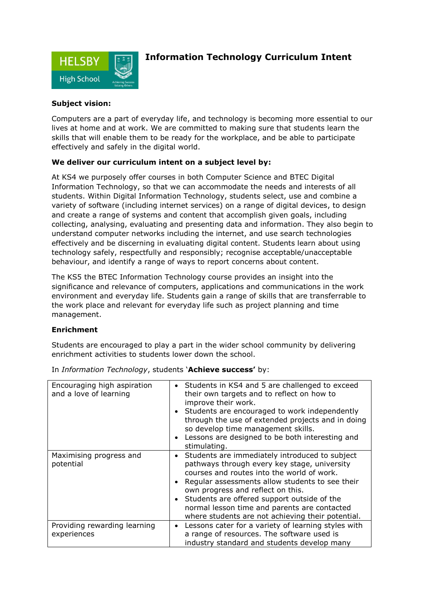

# **Information Technology Curriculum Intent**

### **Subject vision:**

Computers are a part of everyday life, and technology is becoming more essential to our lives at home and at work. We are committed to making sure that students learn the skills that will enable them to be ready for the workplace, and be able to participate effectively and safely in the digital world.

## **We deliver our curriculum intent on a subject level by:**

At KS4 we purposely offer courses in both Computer Science and BTEC Digital Information Technology, so that we can accommodate the needs and interests of all students. Within Digital Information Technology, students select, use and combine a variety of software (including internet services) on a range of digital devices, to design and create a range of systems and content that accomplish given goals, including collecting, analysing, evaluating and presenting data and information. They also begin to understand computer networks including the internet, and use search technologies effectively and be discerning in evaluating digital content. Students learn about using technology safely, respectfully and responsibly; recognise acceptable/unacceptable behaviour, and identify a range of ways to report concerns about content.

The KS5 the BTEC Information Technology course provides an insight into the significance and relevance of computers, applications and communications in the work environment and everyday life. Students gain a range of skills that are transferrable to the work place and relevant for everyday life such as project planning and time management.

#### **Enrichment**

Students are encouraged to play a part in the wider school community by delivering enrichment activities to students lower down the school.

| Encouraging high aspiration<br>and a love of learning | Students in KS4 and 5 are challenged to exceed<br>their own targets and to reflect on how to<br>improve their work.<br>Students are encouraged to work independently<br>through the use of extended projects and in doing<br>so develop time management skills.<br>Lessons are designed to be both interesting and<br>stimulating.                                                       |
|-------------------------------------------------------|------------------------------------------------------------------------------------------------------------------------------------------------------------------------------------------------------------------------------------------------------------------------------------------------------------------------------------------------------------------------------------------|
| Maximising progress and<br>potential                  | Students are immediately introduced to subject<br>pathways through every key stage, university<br>courses and routes into the world of work.<br>Regular assessments allow students to see their<br>own progress and reflect on this.<br>Students are offered support outside of the<br>normal lesson time and parents are contacted<br>where students are not achieving their potential. |
| Providing rewarding learning<br>experiences           | Lessons cater for a variety of learning styles with<br>a range of resources. The software used is<br>industry standard and students develop many                                                                                                                                                                                                                                         |

In *Information Technology*, students '**Achieve success'** by: